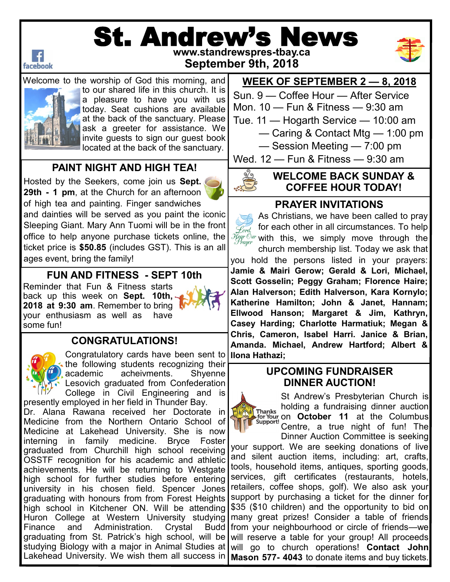

# St. Andrew's News **www.standrewspres-tbay.ca**



**September 9th, 2018**

Welcome to the worship of God this morning, and to our shared life in this church. It is a pleasure to have you with us today. Seat cushions are available at the back of the sanctuary. Please ask a greeter for assistance. We invite guests to sign our guest book located at the back of the sanctuary.

### **PAINT NIGHT AND HIGH TEA!**

Hosted by the Seekers, come join us **Sept. 29th - 1 pm**, at the Church for an afternoon of high tea and painting. Finger sandwiches and dainties will be served as you paint the iconic Sleeping Giant. Mary Ann Tuomi will be in the front office to help anyone purchase tickets online, the ticket price is **\$50.85** (includes GST). This is an all ages event, bring the family!

#### **FUN AND FITNESS - SEPT 10th**

Reminder that Fun & Fitness starts back up this week on **Sept. 10th, 2018 at 9:30 am**. Remember to bring your enthusiasm as well as have some fun!



## **CONGRATULATIONS!**



Congratulatory cards have been sent to **Ilona Hathazi**; the following students recognizing their academic acheivments. Shyenne Lesovich graduated from Confederation College in Civil Engineering and is

Huron College at Western University studying many great prizes! Consider a table of friends presently employed in her field in Thunder Bay. Dr. Alana Rawana received her Doctorate in Medicine from the Northern Ontario School of Medicine at Lakehead University. She is now interning in family medicine. Bryce Foster graduated from Churchill high school receiving OSSTF recognition for his academic and athletic achievements. He will be returning to Westgate high school for further studies before entering university in his chosen field. Spencer Jones graduating with honours from from Forest Heights high school in Kitchener ON. Will be attending Finance and Administration. Crystal graduating from St. Patrick's high school, will be studying Biology with a major in Animal Studies at Lakehead University. We wish them all success in

## **WEEK OF SEPTEMBER 2 — 8, 2018**

Sun. 9 — Coffee Hour — After Service

Mon. 10 — Fun & Fitness — 9:30 am

- Tue. 11 Hogarth Service 10:00 am
	- Caring & Contact Mtg 1:00 pm

— Session Meeting — 7:00 pm

Wed. 12 — Fun & Fitness — 9:30 am

## **WELCOME BACK SUNDAY & COFFEE HOUR TODAY!**

#### **PRAYER INVITATIONS**

As Christians, we have been called to pray  $\mathcal{F}_{\text{ord}}$  for each other in all circumstances. To help  $\widetilde{\mathcal{H}}_{cgr \text{Our}}^{\mathcal{F}}$  with this, we simply move through the

church membership list. Today we ask that you hold the persons listed in your prayers: **Jamie & Mairi Gerow; Gerald & Lori, Michael, Scott Gosselin; Peggy Graham; Florence Haire; Alan Halverson; Edith Halverson, Kara Kornylo; Katherine Hamilton; John & Janet, Hannam; Ellwood Hanson; Margaret & Jim, Kathryn, Casey Harding; Charlotte Harmatiuk; Megan & Chris, Cameron, Isabel Harri. Janice & Brian, Amanda. Michael, Andrew Hartford; Albert &** 

#### **UPCOMING FUNDRAISER DINNER AUCTION!**



St Andrew's Presbyterian Church is holding a fundraising dinner auction for Your on **October 11** at the Columbus Centre, a true night of fun! The

Dinner Auction Committee is seeking your support. We are seeking donations of live and silent auction items, including: art, crafts, tools, household items, antiques, sporting goods, services, gift certificates (restaurants, hotels, retailers, coffee shops, golf). We also ask your support by purchasing a ticket for the dinner for \$35 (\$10 children) and the opportunity to bid on Budd from your neighbourhood or circle of friends—we will reserve a table for your group! All proceeds will go to church operations! **Contact John Mason 577- 4043** to donate items and buy tickets.